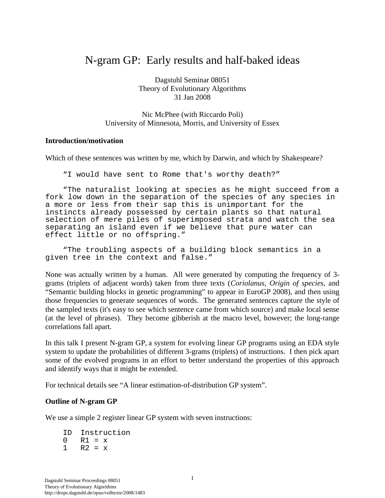# N-gram GP: Early results and half-baked ideas

Dagstuhl Seminar 08051 Theory of Evolutionary Algorithms 31 Jan 2008

Nic McPhee (with Riccardo Poli) University of Minnesota, Morris, and University of Essex

#### **Introduction/motivation**

Which of these sentences was written by me, which by Darwin, and which by Shakespeare?

"I would have sent to Rome that's worthy death?"

"The naturalist looking at species as he might succeed from a fork low down in the separation of the species of any species in a more or less from their sap this is unimportant for the instincts already possessed by certain plants so that natural selection of mere piles of superimposed strata and watch the sea separating an island even if we believe that pure water can effect little or no offspring."

"The troubling aspects of a building block semantics in a given tree in the context and false."

None was actually written by a human. All were generated by computing the frequency of 3 grams (triplets of adjacent words) taken from three texts (*Coriolanus*, *Origin of species*, and "Semantic building blocks in genetic programming" to appear in EuroGP 2008), and then using those frequencies to generate sequences of words. The generated sentences capture the style of the sampled texts (it's easy to see which sentence came from which source) and make local sense (at the level of phrases). They become gibberish at the macro level, however; the long-range correlations fall apart.

In this talk I present N-gram GP, a system for evolving linear GP programs using an EDA style system to update the probabilities of different 3-grams (triplets) of instructions. I then pick apart some of the evolved programs in an effort to better understand the properties of this approach and identify ways that it might be extended.

For technical details see "A linear estimation-of-distribution GP system".

### **Outline of N-gram GP**

We use a simple 2 register linear GP system with seven instructions:

ID Instruction  $0 \t R1 = x$  $1 \quad R2 = x$ 

Dagstuhl Seminar Proceedings 08051 Theory of Evolutionary Algorithms http://drops.dagstuhl.de/opus/volltexte/2008/1483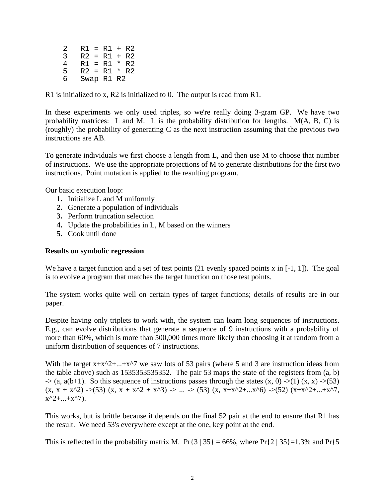2  $R1 = R1 + R2$ <br>3  $R2 = R1 + R2$  $R2 = R1 + R2$ 4 R1 = R1 \* R2 5  $R2 = R1 * R2$ <br>6 Swap R1 R2 Swap R1 R2

R1 is initialized to x, R2 is initialized to 0. The output is read from R1.

In these experiments we only used triples, so we're really doing 3-gram GP. We have two probability matrices: L and M. L is the probability distribution for lengths. M(A, B, C) is (roughly) the probability of generating C as the next instruction assuming that the previous two instructions are AB.

To generate individuals we first choose a length from L, and then use M to choose that number of instructions. We use the appropriate projections of M to generate distributions for the first two instructions. Point mutation is applied to the resulting program.

Our basic execution loop:

- **1.** Initialize L and M uniformly
- **2.** Generate a population of individuals
- **3.** Perform truncation selection
- **4.** Update the probabilities in L, M based on the winners
- **5.** Cook until done

#### **Results on symbolic regression**

We have a target function and a set of test points (21 evenly spaced points x in [-1, 1]). The goal is to evolve a program that matches the target function on those test points.

The system works quite well on certain types of target functions; details of results are in our paper.

Despite having only triplets to work with, the system can learn long sequences of instructions. E.g., can evolve distributions that generate a sequence of 9 instructions with a probability of more than 60%, which is more than 500,000 times more likely than choosing it at random from a uniform distribution of sequences of 7 instructions.

With the target  $x+x^2+...+x^2$  we saw lots of 53 pairs (where 5 and 3 are instruction ideas from the table above) such as 1535353535352. The pair 53 maps the state of the registers from (a, b)  $\Rightarrow$  (a, a(b+1). So this sequence of instructions passes through the states  $(x, 0) \rightarrow (1) (x, x) \rightarrow (53)$  $(x, x + x^2)$  ->(53)  $(x, x + x^2 + x^3)$  -> ... -> (53)  $(x, x+x^2+...x^6)$  ->(52)  $(x+x^2+...+x^7)$  $x^2 + ... + x^2$ .

This works, but is brittle because it depends on the final 52 pair at the end to ensure that R1 has the result. We need 53's everywhere except at the one, key point at the end.

This is reflected in the probability matrix M. Pr{3 | 35} = 66%, where Pr{2 | 35}=1.3% and Pr{5